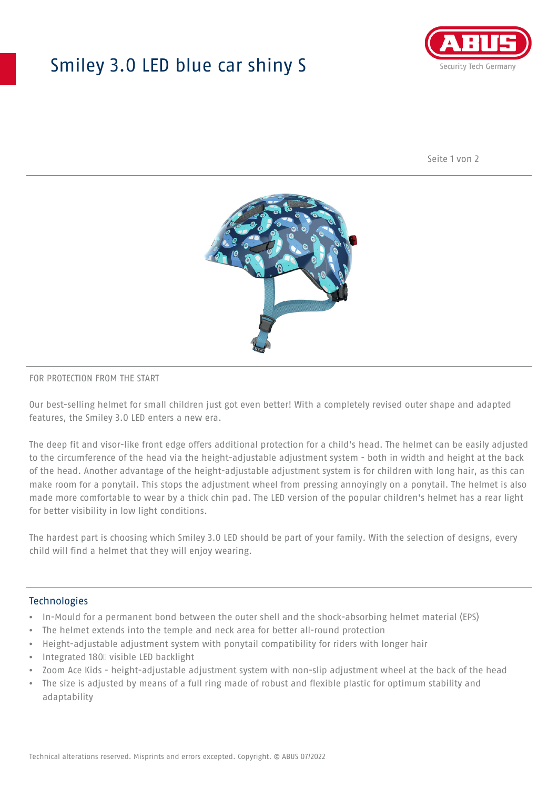## Smiley 3.0 LED blue car shiny S



Seite 1 von 2



#### FOR PROTECTION FROM THE START

Our best-selling helmet for small children just got even better! With a completely revised outer shape and adapted features, the Smiley 3.0 LED enters a new era.

The deep fit and visor-like front edge offers additional protection for a child's head. The helmet can be easily adjusted to the circumference of the head via the height-adjustable adjustment system - both in width and height at the back of the head. Another advantage of the height-adjustable adjustment system is for children with long hair, as this can make room for a ponytail. This stops the adjustment wheel from pressing annoyingly on a ponytail. The helmet is also made more comfortable to wear by a thick chin pad. The LED version of the popular children's helmet has a rear light for better visibility in low light conditions.

The hardest part is choosing which Smiley 3.0 LED should be part of your family. With the selection of designs, every child will find a helmet that they will enjoy wearing.

#### **Technologies**

- In-Mould for a permanent bond between the outer shell and the shock-absorbing helmet material (EPS)
- The helmet extends into the temple and neck area for better all-round protection
- Height-adjustable adjustment system with ponytail compatibility for riders with longer hair
- Integrated 180⁰ visible LED backlight
- Zoom Ace Kids height-adjustable adjustment system with non-slip adjustment wheel at the back of the head
- The size is adjusted by means of a full ring made of robust and flexible plastic for optimum stability and adaptability